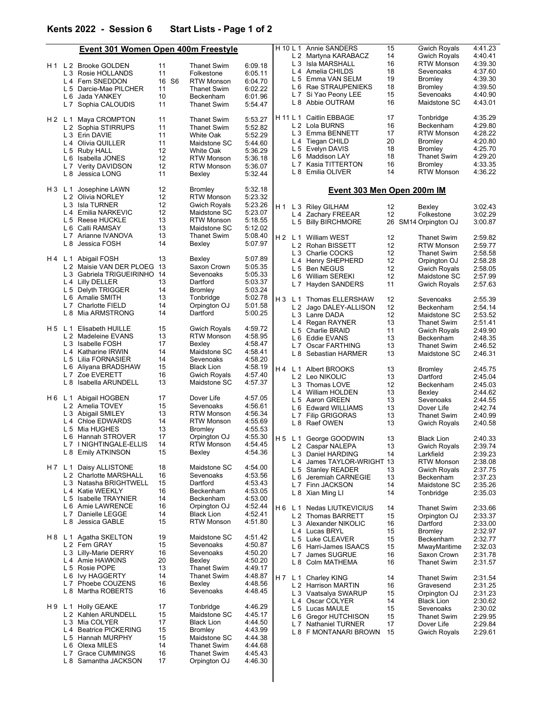L 8 Samantha JACKSON 17 Orpington OJ 4:46.30

|       | Event 301 Women Open 400m Freestyle               |       |                    |         |     |                            | H 10 L 1 Annie SANDERS     | 15 | <b>Gwich Royals</b> | 4:41.23 |  |  |
|-------|---------------------------------------------------|-------|--------------------|---------|-----|----------------------------|----------------------------|----|---------------------|---------|--|--|
|       |                                                   |       |                    |         |     |                            | L 2 Martyna KARABACZ       | 14 | <b>Gwich Royals</b> | 4:40.41 |  |  |
|       | H1 L2 Brooke GOLDEN                               | 11    | <b>Thanet Swim</b> | 6:09.18 |     |                            | L 3 Isla MARSHALL          | 16 | <b>RTW Monson</b>   | 4:39.30 |  |  |
|       | L 3 Rosie HOLLANDS                                | 11    | Folkestone         | 6:05.11 |     |                            | L 4 Amelia CHILDS          | 18 | Sevenoaks           | 4:37.60 |  |  |
|       | L 4 Fern SNEDDON                                  | 16 S6 | <b>RTW Monson</b>  | 6:04.70 |     |                            | L 5 Emma VAN SELM          | 19 | Bromley             | 4:39.30 |  |  |
|       | L 5 Darcie-Mae PILCHER                            | 11    | <b>Thanet Swim</b> | 6:02.22 |     |                            | L 6 Rae STRAUPENIEKS       | 18 | Bromley             | 4:39.50 |  |  |
|       | L 6 Jada YANKEY                                   | 10    | Beckenham          | 6:01.96 |     |                            | L 7 Si Yao Peony LEE       | 15 | Sevenoaks           | 4:40.90 |  |  |
|       | L 7 Sophia CALOUDIS                               | 11    | Thanet Swim        | 5:54.47 |     |                            | L 8 Abbie OUTRAM           | 16 | Maidstone SC        | 4:43.01 |  |  |
|       |                                                   |       |                    |         |     |                            | H 11 L 1 Caitlin EBBAGE    | 17 |                     | 4:35.29 |  |  |
| H2 L1 | Maya CROMPTON                                     | 11    | <b>Thanet Swim</b> | 5:53.27 |     |                            | L 2 Lola BURNS             | 16 | Tonbridge           | 4:29.80 |  |  |
|       | L 2 Sophia STIRRUPS                               | 11    | <b>Thanet Swim</b> | 5:52.82 |     |                            |                            |    | Beckenham           |         |  |  |
|       | L 3 Erin DAVIE                                    | 11    | White Oak          | 5:52.29 |     |                            | L 3 Emma BENNETT           | 17 | <b>RTW Monson</b>   | 4:28.22 |  |  |
|       | L 4 Olivia QUILLER                                | 11    | Maidstone SC       | 5:44.60 |     |                            | L 4 Tiegan CHILD           | 20 | Bromley             | 4:20.80 |  |  |
|       | L 5 Ruby HALL                                     | 12    | White Oak          | 5:36.29 |     |                            | L 5 Evelyn DAVIS           | 18 | Bromley             | 4:25.70 |  |  |
|       | L 6 Isabella JONES                                | 12    | <b>RTW Monson</b>  | 5:36.18 |     |                            | L 6 Maddison LAY           | 18 | Thanet Swim         | 4:29.20 |  |  |
|       | L 7 Verity DAVIDSON                               | 12    | <b>RTW Monson</b>  | 5:36.07 |     |                            | L 7 Kasia TITTERTON        | 16 | Bromley             | 4:33.35 |  |  |
|       | L 8 Jessica LONG                                  | 11    | Bexley             | 5:32.44 |     |                            | L 8 Emilia OLIVER          | 14 | <b>RTW Monson</b>   | 4:36.22 |  |  |
| H3L1  | 12<br>5:32.18<br>Josephine LAWN<br><b>Bromley</b> |       |                    |         |     | Event 303 Men Open 200m IM |                            |    |                     |         |  |  |
|       | L 2 Olivia NORLEY                                 | 12    | <b>RTW Monson</b>  | 5:23.32 |     |                            |                            |    |                     |         |  |  |
|       | L 3 Isla TURNER                                   | 12    | Gwich Royals       | 5:23.26 |     |                            |                            |    |                     |         |  |  |
|       | L 4 Emilia NARKEVIC                               | 12    | Maidstone SC       | 5:23.07 | H 1 |                            | L 3 Riley GILHAM           | 12 | Bexley              | 3:02.43 |  |  |
|       | L 5 Reese HUCKLE                                  | 13    | <b>RTW Monson</b>  | 5:18.55 |     |                            | L 4 Zachary FREEAR         | 12 | Folkestone          | 3:02.29 |  |  |
|       | L 6 Calli RAMSAY                                  | 13    | Maidstone SC       | 5:12.02 |     |                            | L 5 Billy BIRCHMORE        | 26 | SM14 Orpington OJ   | 3:00.87 |  |  |
|       | L 7 Arianne IVANOVA                               | 13    | <b>Thanet Swim</b> | 5:08.40 |     |                            |                            |    |                     |         |  |  |
|       |                                                   |       |                    |         |     |                            | H 2 L 1 William WEST       | 12 | <b>Thanet Swim</b>  | 2:59.82 |  |  |
|       | L 8 Jessica FOSH                                  | 14    | Bexley             | 5:07.97 |     |                            | L 2 Rohan BISSETT          | 12 | <b>RTW Monson</b>   | 2:59.77 |  |  |
|       |                                                   |       |                    |         |     |                            | L 3 Charlie COCKS          | 12 | Thanet Swim         | 2:58.58 |  |  |
|       | H 4 L 1 Abigail FOSH                              | 13    | Bexley             | 5:07.89 |     |                            | L 4 Henry SHEPHERD         | 12 | Orpington OJ        | 2:58.28 |  |  |
|       | L 2 Maisie VAN DER PLOEG                          | 13    | Saxon Crown        | 5:05.35 |     |                            | L 5 Ben NEGUS              | 12 | <b>Gwich Royals</b> | 2:58.05 |  |  |
|       | L 3 Gabriela TRIGUEIRINHO                         | 14    | Sevenoaks          | 5:05.33 |     |                            | L 6 William SEREKI         | 12 | Maidstone SC        | 2:57.99 |  |  |
|       | L 4 Lilly DELLER                                  | 13    | Dartford           | 5:03.37 |     |                            | L 7 Hayden SANDERS         | 11 | <b>Gwich Royals</b> | 2:57.63 |  |  |
|       | L 5 Delyth TRIGGER                                | 14    | Bromley            | 5:03.24 |     |                            |                            |    |                     |         |  |  |
|       | L 6 Amalie SMITH                                  | 13    | Tonbridge          | 5:02.78 |     |                            | H 3 L 1 Thomas ELLERSHAW   | 12 | Sevenoaks           | 2:55.39 |  |  |
|       | L 7 Charlotte FIELD                               | 14    | Orpington OJ       | 5:01.58 |     |                            | L 2 Jago DALEY-ALLISON     | 12 | Beckenham           | 2:54.14 |  |  |
|       | L 8 Mia ARMSTRONG                                 | 14    | Dartford           | 5:00.25 |     |                            | L 3 Lanre DADA             | 12 | Maidstone SC        | 2:53.52 |  |  |
|       |                                                   |       |                    |         |     |                            | L 4 Regan RAYNER           | 13 | <b>Thanet Swim</b>  | 2:51.41 |  |  |
|       | H5 L1<br>Elisabeth HUILLE                         | 15    | Gwich Royals       | 4:59.72 |     |                            | L 5 Charlie BRAID          | 11 | <b>Gwich Royals</b> | 2:49.90 |  |  |
|       | L 2 Madeleine EVANS                               | 13    | <b>RTW Monson</b>  | 4:58.95 |     |                            | L 6 Eddie EVANS            | 13 | Beckenham           | 2:48.35 |  |  |
|       | L 3 Isabelle FOSH                                 | 17    | Bexley             | 4:58.47 |     | L <sub>7</sub>             | Oscar FARTHING             | 13 | <b>Thanet Swim</b>  | 2:46.52 |  |  |
|       | L 4 Katharine IRWIN                               | 14    | Maidstone SC       | 4:58.41 |     |                            | L 8 Sebastian HARMER       | 13 | Maidstone SC        | 2:46.31 |  |  |
|       | L 5 Lilia FORNASIER                               | 14    | Sevenoaks          | 4:58.20 |     |                            |                            |    |                     |         |  |  |
|       | L 6 Aliyana BRADSHAW                              | 15    | <b>Black Lion</b>  | 4:58.19 | H 4 |                            | L 1 Albert BROOKS          | 13 | <b>Bromley</b>      | 2:45.75 |  |  |
|       | L 7 Zoe EVERETT                                   | 16    | Gwich Royals       | 4:57.40 |     |                            |                            | 13 | Dartford            |         |  |  |
|       | L 8 Isabella ARUNDELL                             | 13    | Maidstone SC       | 4:57.37 |     |                            | L 2 Leo NIKOLIC            |    |                     | 2:45.04 |  |  |
|       |                                                   |       |                    |         |     |                            | L 3 Thomas LOVE            | 12 | Beckenham           | 2:45.03 |  |  |
|       | H6 L1<br>Abigail HOGBEN                           | 17    | Dover Life         | 4:57.05 |     |                            | L 4 William HOLDEN         | 13 | Bexley              | 2:44.62 |  |  |
|       | L 2 Amelia TOVEY                                  | 15    | Sevenoaks          | 4:56.61 |     |                            | L 5 Aaron GREEN            | 13 | Sevenoaks           | 2:44.55 |  |  |
|       | L 3 Abigail SMILEY                                | 13    | <b>RTW Monson</b>  | 4:56.34 |     | L 6                        | Edward WILLIAMS            | 13 | Dover Life          | 2:42.74 |  |  |
|       | L 4 Chloe EDWARDS                                 | 14    | <b>RTW Monson</b>  | 4:55.69 |     |                            | L 7 Filip GRIGORAS         | 13 | Thanet Swim         | 2:40.99 |  |  |
|       | L 5 Mia HUGHES                                    | 13    |                    |         |     |                            | L 8 Raef OWEN              | 13 | <b>Gwich Royals</b> | 2:40.58 |  |  |
|       |                                                   | 17    | <b>Bromley</b>     | 4:55.53 |     |                            |                            |    |                     |         |  |  |
|       | L 6 Hannah STROVER<br>L 7 I NIGHTINGALE-ELLIS     |       | Orpington OJ       | 4:55.30 |     |                            | H 5 L 1 George GOODWIN     | 13 | <b>Black Lion</b>   | 2:40.33 |  |  |
|       |                                                   | 14    | <b>RTW Monson</b>  | 4:54.45 |     |                            | L 2 Caspar NALEPA          | 13 | <b>Gwich Royals</b> | 2:39.74 |  |  |
|       | L 8 Emily ATKINSON                                | 15    | Bexley             | 4:54.36 |     |                            | L 3 Daniel HARDING         | 14 | Larkfield           | 2:39.23 |  |  |
|       |                                                   |       |                    |         |     |                            | L 4 James TAYLOR-WRIGHT 13 |    | <b>RTW Monson</b>   | 2:38.08 |  |  |
|       | Daisy ALLISTONE<br>H7 L1                          | 18    | Maidstone SC       | 4:54.00 |     |                            | L 5 Stanley READER         | 13 | <b>Gwich Royals</b> | 2:37.75 |  |  |
|       | L 2 Charlotte MARSHALL                            | 16    | Sevenoaks          | 4:53.56 |     | L 6                        | Jeremiah CARNEGIE          | 13 | Beckenham           | 2:37.23 |  |  |
|       | L 3 Natasha BRIGHTWELL                            | 15    | Dartford           | 4:53.43 |     |                            | L 7 Finn JACKSON           | 14 | Maidstone SC        | 2:35.26 |  |  |
|       | L 4 Katie WEEKLY                                  | 16    | Beckenham          | 4:53.05 |     |                            | L 8 Xian Ming Ll           | 14 | Tonbridge           | 2:35.03 |  |  |
|       | L 5 Isabelle TRAYNIER                             | 14    | Beckenham          | 4:53.00 |     |                            |                            |    |                     |         |  |  |
|       | L 6 Amie LAWRENCE                                 | 16    | Orpington OJ       | 4:52.44 |     |                            | H 6 L 1 Nedas LIUTKEVICIUS | 14 | <b>Thanet Swim</b>  | 2:33.66 |  |  |
|       | L 7 Danielle LEGGE                                | 14    | <b>Black Lion</b>  | 4:52.41 |     |                            | L 2 Thomas BARRETT         | 15 | Orpington OJ        | 2:33.37 |  |  |
|       | L 8 Jessica GABLE                                 | 15    | RTW Monson         | 4:51.80 |     |                            | L 3 Alexander NIKOLIC      | 16 | Dartford            | 2:33.00 |  |  |
|       |                                                   |       |                    |         |     |                            | L 4 Lucas BRYL             | 15 | <b>Bromley</b>      | 2:32.97 |  |  |
|       | H 8 L 1 Agatha SKELTON                            | 19    | Maidstone SC       | 4:51.42 |     |                            | L 5 Luke CLEAVER           | 15 | Beckenham           | 2:32.77 |  |  |
|       | L 2 Fern GRAY                                     | 15    | Sevenoaks          | 4:50.87 |     |                            | L 6 Harri-James ISAACS     | 15 | MwayMaritime        | 2:32.03 |  |  |
|       | L 3 Lilly-Marie DERRY                             | 16    | Sevenoaks          | 4:50.20 |     | L 7                        | James SUGRUE               | 16 | Saxon Crown         | 2:31.78 |  |  |
|       | L 4 Amie HAWKINS                                  | 20    | Bexley             | 4:50.20 |     |                            | L 8 Colm MATHEMA           | 16 | <b>Thanet Swim</b>  | 2:31.57 |  |  |
|       | L 5 Rosie POPE                                    | 13    | <b>Thanet Swim</b> | 4:49.17 |     |                            |                            |    |                     |         |  |  |
|       | L 6 Ivy HAGGERTY                                  | 14    | <b>Thanet Swim</b> | 4:48.87 |     |                            | H 7 L 1 Charley KING       | 14 | <b>Thanet Swim</b>  | 2:31.54 |  |  |
|       | L 7 Phoebe COUZENS                                | 16    | Bexley             | 4:48.56 |     |                            | L 2 Harrison MARTIN        | 16 | Gravesend           | 2:31.25 |  |  |
|       | L 8 Martha ROBERTS                                | 16    | Sevenoaks          | 4:48.45 |     |                            |                            | 15 |                     |         |  |  |
|       |                                                   |       |                    |         |     |                            | L 3 Vaatsalya SWARUP       |    | Orpington OJ        | 2:31.23 |  |  |
|       | H 9 L 1 Holly GEAKE                               | 17    | Tonbridge          | 4:46.29 |     |                            | L 4 Oscar COLYER           | 14 | <b>Black Lion</b>   | 2:30.62 |  |  |
|       | L 2 Kahlen ARUNDELL                               | 15    | Maidstone SC       | 4:45.17 |     |                            | L 5 Lucas MAULE            | 15 | Sevenoaks           | 2:30.02 |  |  |
|       | L 3 Mia COLYER                                    | 17    | <b>Black Lion</b>  | 4:44.50 |     |                            | L 6 Gregor HUTCHISON       | 15 | <b>Thanet Swim</b>  | 2:29.95 |  |  |
|       |                                                   |       |                    |         |     |                            | L 7 Nathaniel TURNER       | 17 | Dover Life          | 2:29.84 |  |  |
|       | L 4 Beatrice PICKERING                            | 15    | Bromley            | 4:43.99 |     |                            | L 8 F MONTANARI BROWN      | 15 | <b>Gwich Royals</b> | 2:29.61 |  |  |
|       | L 5 Hannah MURPHY                                 | 15    | Maidstone SC       | 4:44.38 |     |                            |                            |    |                     |         |  |  |
|       | L 6 Olexa MILES                                   | 14    | <b>Thanet Swim</b> | 4:44.68 |     |                            |                            |    |                     |         |  |  |
|       | L 7 Grace CUMMINGS                                | 16    | <b>Thanet Swim</b> | 4:45.43 |     |                            |                            |    |                     |         |  |  |